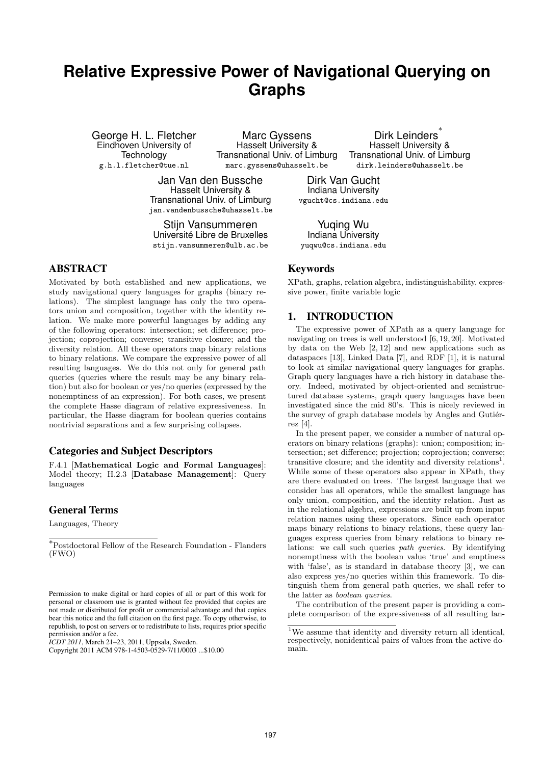# **Relative Expressive Power of Navigational Querying on Graphs**

George H. L. Fletcher Eindhoven University of **Technology** g.h.l.fletcher@tue.nl

Marc Gyssens Hasselt University & Transnational Univ. of Limburg marc.gyssens@uhasselt.be

Jan Van den Bussche Hasselt University & Transnational Univ. of Limburg jan.vandenbussche@uhasselt.be

Stijn Vansummeren Université Libre de Bruxelles stijn.vansummeren@ulb.ac.be

# ABSTRACT

Motivated by both established and new applications, we study navigational query languages for graphs (binary relations). The simplest language has only the two operators union and composition, together with the identity relation. We make more powerful languages by adding any of the following operators: intersection; set difference; projection; coprojection; converse; transitive closure; and the diversity relation. All these operators map binary relations to binary relations. We compare the expressive power of all resulting languages. We do this not only for general path queries (queries where the result may be any binary relation) but also for boolean or yes/no queries (expressed by the nonemptiness of an expression). For both cases, we present the complete Hasse diagram of relative expressiveness. In particular, the Hasse diagram for boolean queries contains nontrivial separations and a few surprising collapses.

# Categories and Subject Descriptors

F.4.1 [Mathematical Logic and Formal Languages]: Model theory; H.2.3 [Database Management]: Query languages

# General Terms

Languages, Theory

<sup>∗</sup>Postdoctoral Fellow of the Research Foundation - Flanders (FWO)

*ICDT 2011*, March 21–23, 2011, Uppsala, Sweden.

Dirk Leinders<sup>\*</sup> Hasselt University & Transnational Univ. of Limburg dirk.leinders@uhasselt.be

Dirk Van Gucht Indiana University vgucht@cs.indiana.edu

Yuqing Wu Indiana University

yuqwu@cs.indiana.edu

# Keywords

XPath, graphs, relation algebra, indistinguishability, expressive power, finite variable logic

# 1. INTRODUCTION

The expressive power of XPath as a query language for navigating on trees is well understood [6, 19, 20]. Motivated by data on the Web [2, 12] and new applications such as dataspaces [13], Linked Data [7], and RDF [1], it is natural to look at similar navigational query languages for graphs. Graph query languages have a rich history in database theory. Indeed, motivated by object-oriented and semistructured database systems, graph query languages have been investigated since the mid 80's. This is nicely reviewed in the survey of graph database models by Angles and Gutiérrez [4].

In the present paper, we consider a number of natural operators on binary relations (graphs): union; composition; intersection; set difference; projection; coprojection; converse; transitive closure; and the identity and diversity relations<sup>1</sup>. While some of these operators also appear in XPath, they are there evaluated on trees. The largest language that we consider has all operators, while the smallest language has only union, composition, and the identity relation. Just as in the relational algebra, expressions are built up from input relation names using these operators. Since each operator maps binary relations to binary relations, these query languages express queries from binary relations to binary relations: we call such queries path queries. By identifying nonemptiness with the boolean value 'true' and emptiness with 'false', as is standard in database theory [3], we can also express yes/no queries within this framework. To distinguish them from general path queries, we shall refer to the latter as boolean queries.

The contribution of the present paper is providing a complete comparison of the expressiveness of all resulting lan-

Permission to make digital or hard copies of all or part of this work for personal or classroom use is granted without fee provided that copies are not made or distributed for profit or commercial advantage and that copies bear this notice and the full citation on the first page. To copy otherwise, to republish, to post on servers or to redistribute to lists, requires prior specific permission and/or a fee.

Copyright 2011 ACM 978-1-4503-0529-7/11/0003 ...\$10.00

<sup>&</sup>lt;sup>1</sup>We assume that identity and diversity return all identical, respectively, nonidentical pairs of values from the active domain.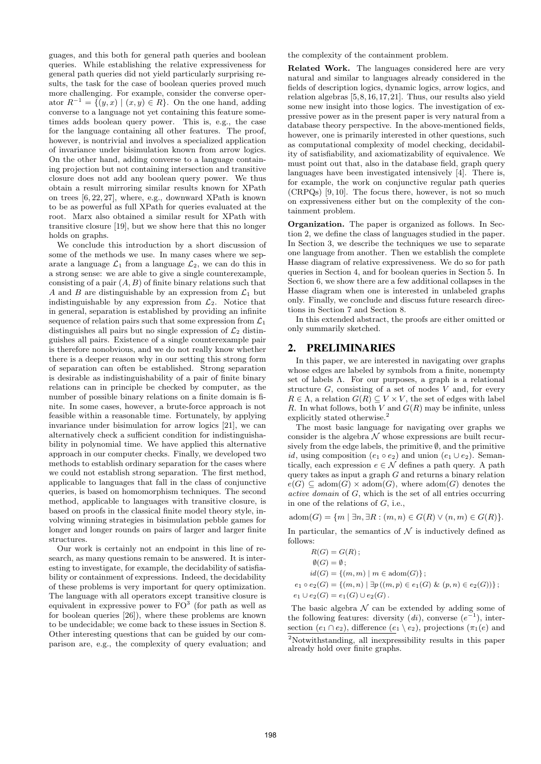guages, and this both for general path queries and boolean queries. While establishing the relative expressiveness for general path queries did not yield particularly surprising results, the task for the case of boolean queries proved much more challenging. For example, consider the converse operator  $R^{-1} = \{(y, x) \mid (x, y) \in R\}$ . On the one hand, adding converse to a language not yet containing this feature sometimes adds boolean query power. This is, e.g., the case for the language containing all other features. The proof, however, is nontrivial and involves a specialized application of invariance under bisimulation known from arrow logics. On the other hand, adding converse to a language containing projection but not containing intersection and transitive closure does not add any boolean query power. We thus obtain a result mirroring similar results known for XPath on trees [6, 22, 27], where, e.g., downward XPath is known to be as powerful as full XPath for queries evaluated at the root. Marx also obtained a similar result for XPath with transitive closure [19], but we show here that this no longer holds on graphs.

We conclude this introduction by a short discussion of some of the methods we use. In many cases where we separate a language  $\mathcal{L}_1$  from a language  $\mathcal{L}_2$ , we can do this in a strong sense: we are able to give a single counterexample, consisting of a pair  $(A, B)$  of finite binary relations such that A and B are distinguishable by an expression from  $\mathcal{L}_1$  but indistinguishable by any expression from  $\mathcal{L}_2$ . Notice that in general, separation is established by providing an infinite sequence of relation pairs such that some expression from  $\mathcal{L}_1$ distinguishes all pairs but no single expression of  $\mathcal{L}_2$  distinguishes all pairs. Existence of a single counterexample pair is therefore nonobvious, and we do not really know whether there is a deeper reason why in our setting this strong form of separation can often be established. Strong separation is desirable as indistinguishability of a pair of finite binary relations can in principle be checked by computer, as the number of possible binary relations on a finite domain is finite. In some cases, however, a brute-force approach is not feasible within a reasonable time. Fortunately, by applying invariance under bisimulation for arrow logics [21], we can alternatively check a sufficient condition for indistinguishability in polynomial time. We have applied this alternative approach in our computer checks. Finally, we developed two methods to establish ordinary separation for the cases where we could not establish strong separation. The first method, applicable to languages that fall in the class of conjunctive queries, is based on homomorphism techniques. The second method, applicable to languages with transitive closure, is based on proofs in the classical finite model theory style, involving winning strategies in bisimulation pebble games for longer and longer rounds on pairs of larger and larger finite structures.

Our work is certainly not an endpoint in this line of research, as many questions remain to be answered. It is interesting to investigate, for example, the decidability of satisfiability or containment of expressions. Indeed, the decidability of these problems is very important for query optimization. The language with all operators except transitive closure is equivalent in expressive power to  $FO<sup>3</sup>$  (for path as well as for boolean queries [26]), where these problems are known to be undecidable; we come back to these issues in Section 8. Other interesting questions that can be guided by our comparison are, e.g., the complexity of query evaluation; and the complexity of the containment problem.

Related Work. The languages considered here are very natural and similar to languages already considered in the fields of description logics, dynamic logics, arrow logics, and relation algebras [5,8,16,17,21]. Thus, our results also yield some new insight into those logics. The investigation of expressive power as in the present paper is very natural from a database theory perspective. In the above-mentioned fields, however, one is primarily interested in other questions, such as computational complexity of model checking, decidability of satisfiability, and axiomatizability of equivalence. We must point out that, also in the database field, graph query languages have been investigated intensively [4]. There is, for example, the work on conjunctive regular path queries (CRPQs) [9, 10]. The focus there, however, is not so much on expressiveness either but on the complexity of the containment problem.

Organization. The paper is organized as follows. In Section 2, we define the class of languages studied in the paper. In Section 3, we describe the techniques we use to separate one language from another. Then we establish the complete Hasse diagram of relative expressiveness. We do so for path queries in Section 4, and for boolean queries in Section 5. In Section 6, we show there are a few additional collapses in the Hasse diagram when one is interested in unlabeled graphs only. Finally, we conclude and discuss future research directions in Section 7 and Section 8.

In this extended abstract, the proofs are either omitted or only summarily sketched.

# 2. PRELIMINARIES

In this paper, we are interested in navigating over graphs whose edges are labeled by symbols from a finite, nonempty set of labels Λ. For our purposes, a graph is a relational structure  $G$ , consisting of a set of nodes  $V$  and, for every  $R \in \Lambda$ , a relation  $G(R) \subseteq V \times V$ , the set of edges with label R. In what follows, both  $V$  and  $G(R)$  may be infinite, unless explicitly stated otherwise.<sup>2</sup>

The most basic language for navigating over graphs we consider is the algebra  $N$  whose expressions are built recursively from the edge labels, the primitive  $\emptyset$ , and the primitive id, using composition  $(e_1 \circ e_2)$  and union  $(e_1 \cup e_2)$ . Semantically, each expression  $e \in \mathcal{N}$  defines a path query. A path query takes as input a graph  $G$  and returns a binary relation  $e(G) \subseteq \text{adom}(G) \times \text{adom}(G)$ , where  $\text{adom}(G)$  denotes the active domain of G, which is the set of all entries occurring in one of the relations of G, i.e.,

 $adom(G) = \{m \mid \exists n, \exists R : (m, n) \in G(R) \vee (n, m) \in G(R)\}.$ 

In particular, the semantics of  $N$  is inductively defined as follows:

$$
R(G) = G(R);
$$
  
\n
$$
\emptyset(G) = \emptyset;
$$
  
\n
$$
id(G) = \{(m, m) \mid m \in \text{adom}(G)\};
$$
  
\n
$$
e_1 \circ e_2(G) = \{(m, n) \mid \exists p ((m, p) \in e_1(G) \& (p, n) \in e_2(G))\};
$$
  
\n
$$
e_1 \cup e_2(G) = e_1(G) \cup e_2(G).
$$

The basic algebra  $\mathcal N$  can be extended by adding some of the following features: diversity  $(di)$ , converse  $(e^{-1})$ , intersection  $(e_1 \cap e_2)$ , difference  $(e_1 \setminus e_2)$ , projections  $(\pi_1(e)$  and

<sup>2</sup>Notwithstanding, all inexpressibility results in this paper already hold over finite graphs.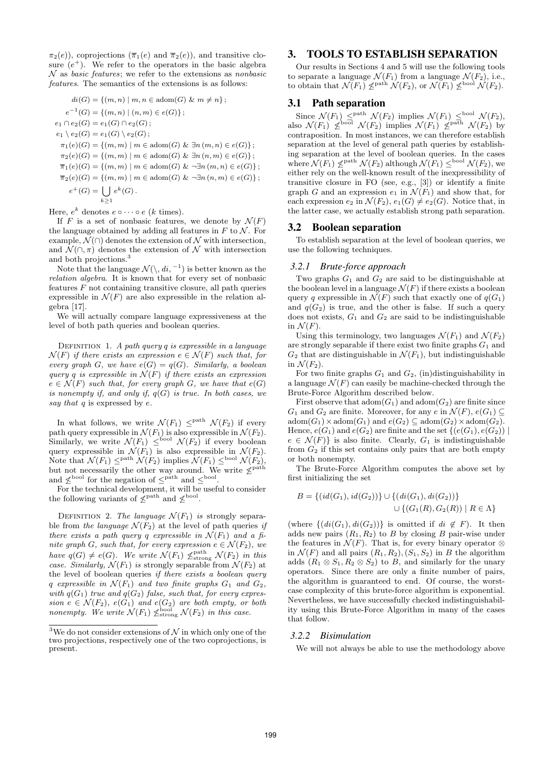$\pi_2(e)$ , coprojections  $(\overline{\pi}_1(e)$  and  $\overline{\pi}_2(e)$ , and transitive closure  $(e^+)$ . We refer to the operators in the basic algebra  $N$  as *basic features*; we refer to the extensions as *nonbasic* features. The semantics of the extensions is as follows:

$$
di(G) = \{(m, n) \mid m, n \in \text{adom}(G) \& m \neq n\};
$$
\n
$$
e^{-1}(G) = \{(m, n) \mid (n, m) \in e(G)\};
$$
\n
$$
e_1 \cap e_2(G) = e_1(G) \cap e_2(G);
$$
\n
$$
e_1 \setminus e_2(G) = e_1(G) \setminus e_2(G);
$$
\n
$$
\pi_1(e)(G) = \{(m, m) \mid m \in \text{adom}(G) \& \exists n \ (m, n) \in e(G)\};
$$
\n
$$
\pi_2(e)(G) = \{(m, m) \mid m \in \text{adom}(G) \& \exists n \ (n, m) \in e(G)\};
$$
\n
$$
\overline{\pi}_1(e)(G) = \{(m, m) \mid m \in \text{adom}(G) \& \neg \exists n \ (m, n) \in e(G)\};
$$
\n
$$
\overline{\pi}_2(e)(G) = \{(m, m) \mid m \in \text{adom}(G) \& \neg \exists n \ (n, m) \in e(G)\};
$$
\n
$$
e^+(G) = \bigcup_{k \ge 1} e^k(G).
$$

Here,  $e^k$  denotes  $e \circ \cdots \circ e$  (k times).

If F is a set of nonbasic features, we denote by  $\mathcal{N}(F)$ the language obtained by adding all features in  $F$  to  $\mathcal N$ . For example,  $\mathcal{N}(\cap)$  denotes the extension of  $\mathcal N$  with intersection, and  $\mathcal{N}(\cap,\pi)$  denotes the extension of  $\mathcal N$  with intersection and both projections.<sup>3</sup>

Note that the language  $\mathcal{N}(\backslash, d_i, \mathbf{x}^{-1})$  is better known as the relation algebra. It is known that for every set of nonbasic features  $F$  not containing transitive closure, all path queries expressible in  $\mathcal{N}(F)$  are also expressible in the relation algebra [17].

We will actually compare language expressiveness at the level of both path queries and boolean queries.

DEFINITION 1. A path query q is expressible in a language  $\mathcal{N}(F)$  if there exists an expression  $e \in \mathcal{N}(F)$  such that, for every graph G, we have  $e(G) = q(G)$ . Similarly, a boolean query q is expressible in  $\mathcal{N}(F)$  if there exists an expression  $e \in \mathcal{N}(F)$  such that, for every graph G, we have that  $e(G)$ is nonempty if, and only if,  $q(G)$  is true. In both cases, we say that  $q$  is expressed by  $e$ .

In what follows, we write  $\mathcal{N}(F_1) \leq^{\text{path}} \mathcal{N}(F_2)$  if every path query expressible in  $\mathcal{N}(F_1)$  is also expressible in  $\mathcal{N}(F_2)$ . Similarly, we write  $\mathcal{N}(F_1) \leq^{\text{bool}} \mathcal{N}(F_2)$  if every boolean query expressible in  $\mathcal{N}(F_1)$  is also expressible in  $\mathcal{N}(F_2)$ . Note that  $\mathcal{N}(F_1) \leq^{\text{path}} \mathcal{N}(F_2)$  implies  $\mathcal{N}(F_1) \leq^{\text{bool}} \mathcal{N}(F_2)$ , but not necessarily the other way around. We write  $\measuredangle^{\text{path}}$ and  $\leq^{\text{bool}}$  for the negation of  $\leq^{\text{path}}$  and  $\leq^{\text{bool}}$ .

For the technical development, it will be useful to consider the following variants of  $\mathcal{L}^{\text{path}}$  and  $\mathcal{L}^{\text{bool}}$ .

DEFINITION 2. The language  $\mathcal{N}(F_1)$  is strongly separable from the language  $\mathcal{N}(F_2)$  at the level of path queries if there exists a path query q expressible in  $\mathcal{N}(F_1)$  and a finite graph G, such that, for every expression  $e \in \mathcal{N}(F_2)$ , we have  $q(G) \neq e(G)$ . We write  $\mathcal{N}(F_1) \not\leq^{\text{path}}_{\text{strong}} \mathcal{N}(F_2)$  in this case. Similarly,  $\mathcal{N}(F_1)$  is strongly separable from  $\mathcal{N}(F_2)$  at the level of boolean queries if there exists a boolean query q expressible in  $\mathcal{N}(F_1)$  and two finite graphs  $G_1$  and  $G_2$ , with  $q(G_1)$  true and  $q(G_2)$  false, such that, for every expression  $e \in \mathcal{N}(F_2)$ ,  $e(G_1)$  and  $e(G_2)$  are both empty, or both nonempty. We write  $\mathcal{N}(F_1) \nleq^{\text{bool}}_{\text{strong}} \mathcal{N}(F_2)$  in this case.

# 3. TOOLS TO ESTABLISH SEPARATION

Our results in Sections 4 and 5 will use the following tools to separate a language  $\mathcal{N}(F_1)$  from a language  $\mathcal{N}(F_2)$ , i.e., to obtain that  $\mathcal{N}(F_1) \not\leq^{\text{path}} \mathcal{N}(F_2)$ , or  $\mathcal{N}(F_1) \not\leq^{\text{bool}} \mathcal{N}(F_2)$ .

## 3.1 Path separation

Since  $\mathcal{N}(F_1) \leq^{\text{path}} \mathcal{N}(F_2)$  implies  $\mathcal{N}(F_1) \leq^{\text{bool}} \mathcal{N}(F_2)$ , also  $\mathcal{N}(F_1) \not\leq^{\text{bool}} \mathcal{N}(F_2)$  implies  $\mathcal{N}(F_1) \not\leq^{\text{path}} \mathcal{N}(F_2)$  by contraposition. In most instances, we can therefore establish separation at the level of general path queries by establishing separation at the level of boolean queries. In the cases where  $\mathcal{N}(F_1) \nleq^{\text{path}} \mathcal{N}(F_2)$  although  $\mathcal{N}(F_1) \leq^{\text{bool}} \mathcal{N}(F_2)$ , we either rely on the well-known result of the inexpressibility of transitive closure in FO (see, e.g., [3]) or identify a finite graph G and an expression  $e_1$  in  $\mathcal{N}(F_1)$  and show that, for each expression  $e_2$  in  $\mathcal{N}(F_2)$ ,  $e_1(G) \neq e_2(G)$ . Notice that, in the latter case, we actually establish strong path separation.

#### 3.2 Boolean separation

To establish separation at the level of boolean queries, we use the following techniques.

#### *3.2.1 Brute-force approach*

Two graphs  $G_1$  and  $G_2$  are said to be distinguishable at the boolean level in a language  $\mathcal{N}(F)$  if there exists a boolean query q expressible in  $\mathcal{N}(F)$  such that exactly one of  $q(G_1)$ and  $q(G_2)$  is true, and the other is false. If such a query does not exists,  $G_1$  and  $G_2$  are said to be indistinguishable in  $\mathcal{N}(F)$ .

Using this terminology, two languages  $\mathcal{N}(F_1)$  and  $\mathcal{N}(F_2)$ are strongly separable if there exist two finite graphs  $G_1$  and  $G_2$  that are distinguishable in  $\mathcal{N}(F_1)$ , but indistinguishable in  $\mathcal{N}(F_2)$ .

For two finite graphs  $G_1$  and  $G_2$ , (in)distinguishability in a language  $\mathcal{N}(F)$  can easily be machine-checked through the Brute-Force Algorithm described below.

First observe that  $\text{adom}(G_1)$  and  $\text{adom}(G_2)$  are finite since  $G_1$  and  $G_2$  are finite. Moreover, for any e in  $\mathcal{N}(F)$ ,  $e(G_1) \subseteq$  $adom(G_1) \times adom(G_1)$  and  $e(G_2) \subseteq adom(G_2) \times adom(G_2)$ . Hence,  $e(G_1)$  and  $e(G_2)$  are finite and the set  $\{(e(G_1), e(G_2))\mid$  $e \in \mathcal{N}(F)$  is also finite. Clearly,  $G_1$  is indistinguishable from  $G_2$  if this set contains only pairs that are both empty or both nonempty.

The Brute-Force Algorithm computes the above set by first initializing the set

$$
B = \{ (id(G_1), id(G_2)) \} \cup \{ (di(G_1), di(G_2)) \}
$$
  

$$
\cup \{ (G_1(R), G_2(R)) \mid R \in \Lambda \}
$$

(where  $\{(di(G_1), di(G_2))\}$  is omitted if  $di \notin F$ ). It then adds new pairs  $(R_1, R_2)$  to B by closing B pair-wise under the features in  $\mathcal{N}(F)$ . That is, for every binary operator ⊗ in  $\mathcal{N}(F)$  and all pairs  $(R_1, R_2), (S_1, S_2)$  in B the algorithm adds  $(R_1 \otimes S_1, R_2 \otimes S_2)$  to B, and similarly for the unary operators. Since there are only a finite number of pairs, the algorithm is guaranteed to end. Of course, the worstcase complexity of this brute-force algorithm is exponential. Nevertheless, we have successfully checked indistinguishability using this Brute-Force Algorithm in many of the cases that follow.

#### *3.2.2 Bisimulation*

We will not always be able to use the methodology above

<sup>&</sup>lt;sup>3</sup>We do not consider extensions of  $N$  in which only one of the two projections, respectively one of the two coprojections, is present.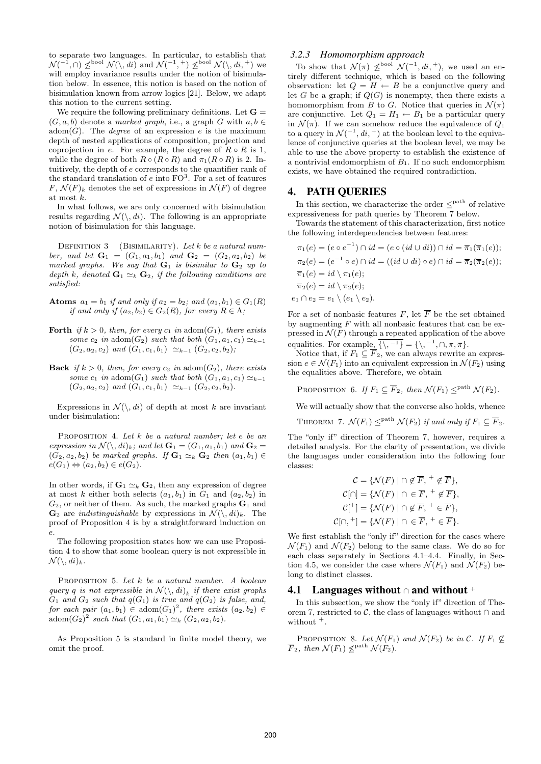to separate two languages. In particular, to establish that  $\mathcal{N}({}^{-1},\cap) \nleq^{\text{bool}} \mathcal{N}(\setminus, di)$  and  $\mathcal{N}({}^{-1},{}^{+}) \nleq^{\text{bool}} \mathcal{N}(\setminus, di,{}^{+})$  we will employ invariance results under the notion of bisimulation below. In essence, this notion is based on the notion of bisimulation known from arrow logics [21]. Below, we adapt this notion to the current setting.

We require the following preliminary definitions. Let  $G =$  $(G, a, b)$  denote a *marked graph*, i.e., a graph G with  $a, b \in$  $adom(G)$ . The *degree* of an expression e is the maximum depth of nested applications of composition, projection and coprojection in e. For example, the degree of  $R \circ R$  is 1, while the degree of both  $R \circ (R \circ R)$  and  $\pi_1(R \circ R)$  is 2. Intuitively, the depth of e corresponds to the quantifier rank of the standard translation of  $e$  into  $FO^3$ . For a set of features  $F, \mathcal{N}(F)_k$  denotes the set of expressions in  $\mathcal{N}(F)$  of degree at most k.

In what follows, we are only concerned with bisimulation results regarding  $\mathcal{N}(\cdot, di)$ . The following is an appropriate notion of bisimulation for this language.

DEFINITION 3 (BISIMILARITY). Let  $k$  be a natural number, and let  $G_1 = (G_1, a_1, b_1)$  and  $G_2 = (G_2, a_2, b_2)$  be marked graphs. We say that  $G_1$  is bisimilar to  $G_2$  up to depth k, denoted  $\mathbf{G}_1 \simeq_k \mathbf{G}_2$ , if the following conditions are satisfied:

- Atoms  $a_1 = b_1$  if and only if  $a_2 = b_2$ ; and  $(a_1, b_1) \in G_1(R)$ if and only if  $(a_2, b_2) \in G_2(R)$ , for every  $R \in \Lambda$ ;
- Forth if  $k > 0$ , then, for every  $c_1$  in adom $(G_1)$ , there exists some  $c_2$  in adom $(G_2)$  such that both  $(G_1, a_1, c_1) \simeq_{k-1}$  $(G_2, a_2, c_2)$  and  $(G_1, c_1, b_1) \simeq_{k-1} (G_2, c_2, b_2);$
- **Back** if  $k > 0$ , then, for every  $c_2$  in  $adom(G_2)$ , there exists some  $c_1$  in adom $(G_1)$  such that both  $(G_1, a_1, c_1) \simeq_{k-1}$  $(G_2, a_2, c_2)$  and  $(G_1, c_1, b_1) \simeq_{k-1} (G_2, c_2, b_2).$

Expressions in  $\mathcal{N}(\mathcal{X}, d\mathbf{i})$  of depth at most k are invariant under bisimulation:

PROPOSITION 4. Let k be a natural number; let e be an expression in  $\mathcal{N}(\mathcal{h}, d\mathbf{i})_k$ ; and let  $\mathbf{G}_1 = (G_1, a_1, b_1)$  and  $\mathbf{G}_2 =$  $(G_2, a_2, b_2)$  be marked graphs. If  $\mathbf{G}_1 \simeq_k \mathbf{G}_2$  then  $(a_1, b_1) \in$  $e(G_1) \Leftrightarrow (a_2, b_2) \in e(G_2).$ 

In other words, if  $G_1 \simeq_k G_2$ , then any expression of degree at most k either both selects  $(a_1, b_1)$  in  $G_1$  and  $(a_2, b_2)$  in  $G_2$ , or neither of them. As such, the marked graphs  $\mathbf{G}_1$  and  $\mathbf{G}_2$  are *indistinguishable* by expressions in  $\mathcal{N}(\mathcal{A}, d\mathbf{i})_k$ . The proof of Proposition 4 is by a straightforward induction on e.

The following proposition states how we can use Proposition 4 to show that some boolean query is not expressible in  $\mathcal{N}(\mathcal{h}, di)_k$ .

PROPOSITION 5. Let k be a natural number. A boolean query q is not expressible in  $N(\langle, di \rangle_k)$  if there exist graphs  $G_1$  and  $G_2$  such that  $q(G_1)$  is true and  $q(G_2)$  is false, and, for each pair  $(a_1,b_1) \in \text{adom}(G_1)^2$ , there exists  $(a_2,b_2) \in$ adom $(G_2)^2$  such that  $(G_1, a_1, b_1) \simeq_k (G_2, a_2, b_2)$ .

As Proposition 5 is standard in finite model theory, we omit the proof.

#### *3.2.3 Homomorphism approach*

To show that  $\mathcal{N}(\pi) \not\leq^{\text{bool}} \mathcal{N}({}^{-1}, d_i, {}^+),$  we used an entirely different technique, which is based on the following observation: let  $Q = H \leftarrow B$  be a conjunctive query and let G be a graph; if  $Q(G)$  is nonempty, then there exists a homomorphism from B to G. Notice that queries in  $\mathcal{N}(\pi)$ are conjunctive. Let  $Q_1 = H_1 \leftarrow B_1$  be a particular query in  $\mathcal{N}(\pi)$ . If we can somehow reduce the equivalence of  $Q_1$ to a query in  $\mathcal{N}^{-1}, di, +$  at the boolean level to the equivalence of conjunctive queries at the boolean level, we may be able to use the above property to establish the existence of a nontrivial endomorphism of  $B_1$ . If no such endomorphism exists, we have obtained the required contradiction.

## 4. PATH QUERIES

In this section, we characterize the order  $\leq^{\text{path}}$  of relative expressiveness for path queries by Theorem 7 below.

Towards the statement of this characterization, first notice the following interdependencies between features:

$$
\pi_1(e) = (e \circ e^{-1}) \cap id = (e \circ (id \cup di)) \cap id = \overline{\pi}_1(\overline{\pi}_1(e));
$$
  
\n
$$
\pi_2(e) = (e^{-1} \circ e) \cap id = ((id \cup di) \circ e) \cap id = \overline{\pi}_2(\overline{\pi}_2(e));
$$
  
\n
$$
\overline{\pi}_1(e) = id \setminus \pi_1(e);
$$
  
\n
$$
\overline{\pi}_2(e) = id \setminus \pi_2(e);
$$
  
\n
$$
e_1 \cap e_2 = e_1 \setminus (e_1 \setminus e_2).
$$

For a set of nonbasic features F, let  $\overline{F}$  be the set obtained by augmenting  $F$  with all nonbasic features that can be expressed in  $\mathcal{N}(F)$  through a repeated application of the above equalities. For example,  $\{\, \overline{\{\, \, ,\, ^{-1}\}} = \{ \, \langle \, ,\, ^{-1}, \cap, \pi, \overline{\pi} \}$ .

Notice that, if  $F_1 \subseteq \overline{F_2}$ , we can always rewrite an expression  $e \in \mathcal{N}(F_1)$  into an equivalent expression in  $\mathcal{N}(F_2)$  using the equalities above. Therefore, we obtain

PROPOSITION 6. If  $F_1 \subseteq \overline{F}_2$ , then  $\mathcal{N}(F_1) \leq^{\text{path}} \mathcal{N}(F_2)$ .

We will actually show that the converse also holds, whence

THEOREM 7.  $\mathcal{N}(F_1) \leq^{\text{path}} \mathcal{N}(F_2)$  if and only if  $F_1 \subseteq \overline{F}_2$ .

The "only if" direction of Theorem 7, however, requires a detailed analysis. For the clarity of presentation, we divide the languages under consideration into the following four classes:

$$
C = \{ \mathcal{N}(F) \mid \cap \notin \overline{F}, + \notin \overline{F} \},\
$$

$$
C[\cap] = \{ \mathcal{N}(F) \mid \cap \in \overline{F}, + \notin \overline{F} \},\
$$

$$
C[^+]= \{ \mathcal{N}(F) \mid \cap \notin \overline{F}, + \in \overline{F} \},\
$$

$$
C[\cap, +] = \{ \mathcal{N}(F) \mid \cap \in \overline{F}, + \in \overline{F} \}.
$$

We first establish the "only if" direction for the cases where  $\mathcal{N}(F_1)$  and  $\mathcal{N}(F_2)$  belong to the same class. We do so for each class separately in Sections 4.1–4.4. Finally, in Section 4.5, we consider the case where  $\mathcal{N}(F_1)$  and  $\mathcal{N}(F_2)$  belong to distinct classes.

## 4.1 Languages without  $\cap$  and without  $^+$

In this subsection, we show the "only if" direction of Theorem 7, restricted to  $\mathcal{C}$ , the class of languages without ∩ and without  $^+$ .

PROPOSITION 8. Let  $\mathcal{N}(F_1)$  and  $\mathcal{N}(F_2)$  be in C. If  $F_1 \not\subseteq$  $\overline{F}_2$ , then  $\mathcal{N}(F_1) \not\leq^{\text{path}} \mathcal{N}(F_2)$ .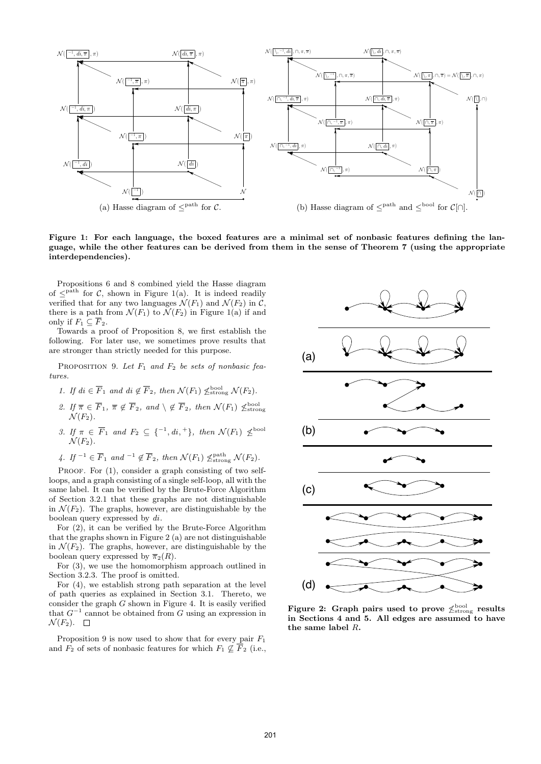

Figure 1: For each language, the boxed features are a minimal set of nonbasic features defining the language, while the other features can be derived from them in the sense of Theorem 7 (using the appropriate interdependencies).

Propositions 6 and 8 combined yield the Hasse diagram of  $\leq^{\text{path}}$  for C, shown in Figure 1(a). It is indeed readily verified that for any two languages  $\mathcal{N}(F_1)$  and  $\mathcal{N}(F_2)$  in C, there is a path from  $\mathcal{N}(F_1)$  to  $\mathcal{N}(F_2)$  in Figure 1(a) if and only if  $F_1 \subseteq \overline{F}_2$ .

Towards a proof of Proposition 8, we first establish the following. For later use, we sometimes prove results that are stronger than strictly needed for this purpose.

PROPOSITION 9. Let  $F_1$  and  $F_2$  be sets of nonbasic features.

- 1. If  $di \in \overline{F}_1$  and  $di \notin \overline{F}_2$ , then  $\mathcal{N}(F_1) \nleq^{\text{bool}}_{\text{strong}} \mathcal{N}(F_2)$ .
- 2. If  $\overline{\pi} \in \overline{F}_1$ ,  $\overline{\pi} \notin \overline{F}_2$ , and  $\setminus \notin \overline{F}_2$ , then  $\mathcal{N}(F_1) \nleq^{\text{bool}}_{\text{strong}}$ <br> $\mathcal{N}(F_2)$ .
- 3. If  $\pi \in \overline{F}_1$  and  $F_2 \subseteq \{^{-1}, di, ^{+}\},$  then  $\mathcal{N}(F_1) \not\leq^{\text{bool}}$  $\mathcal{N}(F_2)$ .
- 4. If  $^{-1} \in \overline{F}_1$  and  $^{-1} \notin \overline{F}_2$ , then  $\mathcal{N}(F_1) \not\leq^{\text{path}}_{\text{strong}} \mathcal{N}(F_2)$ .

PROOF. For  $(1)$ , consider a graph consisting of two selfloops, and a graph consisting of a single self-loop, all with the same label. It can be verified by the Brute-Force Algorithm of Section 3.2.1 that these graphs are not distinguishable in  $\mathcal{N}(F_2)$ . The graphs, however, are distinguishable by the boolean query expressed by di.

For (2), it can be verified by the Brute-Force Algorithm that the graphs shown in Figure 2 (a) are not distinguishable in  $\mathcal{N}(F_2)$ . The graphs, however, are distinguishable by the boolean query expressed by  $\overline{\pi}_2(R)$ .

For (3), we use the homomorphism approach outlined in Section 3.2.3. The proof is omitted.

For (4), we establish strong path separation at the level of path queries as explained in Section 3.1. Thereto, we consider the graph  $G$  shown in Figure 4. It is easily verified that  $G^{-1}$  cannot be obtained from G using an expression in  $\mathcal{N}(F_2)$ .  $\square$ 

Proposition 9 is now used to show that for every pair  $F_1$ and  $F_2$  of sets of nonbasic features for which  $F_1 \nsubseteq \overline{F}_2$  (i.e.,



Figure 2: Graph pairs used to prove  $\mathcal{L}^{\text{bool}}_{\text{strong}}$  results in Sections 4 and 5. All edges are assumed to have the same label R.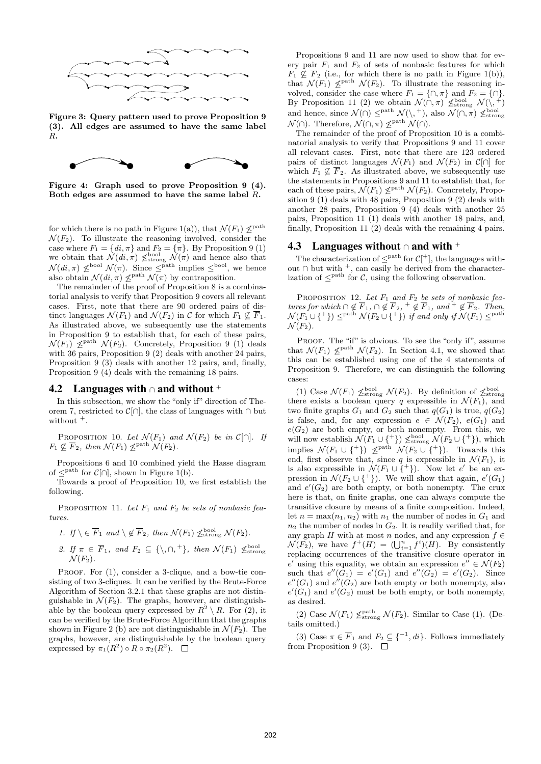

Figure 3: Query pattern used to prove Proposition 9 (3). All edges are assumed to have the same label R.



Figure 4: Graph used to prove Proposition 9 (4). Both edges are assumed to have the same label R.

for which there is no path in Figure 1(a)), that  $\mathcal{N}(F_1) \not\leq^{\text{path}}$  $\mathcal{N}(F_2)$ . To illustrate the reasoning involved, consider the case where  $F_1 = \{di, \pi\}$  and  $F_2 = \{\pi\}$ . By Proposition 9 (1) we obtain that  $\mathcal{N}(di, \pi) \nleq^{\text{bool}}_{\text{strong}} \mathcal{N}(\pi)$  and hence also that  $\mathcal{N}(di, \pi) \not\leq^{\text{bool}} \mathcal{N}(\pi)$ . Since  $\leq^{\text{path}}$  implies  $\leq^{\text{bool}}$ , we hence also obtain  $\mathcal{N}(di, \pi) \not\leq^{\text{path}} \mathcal{N}(\pi)$  by contraposition.

The remainder of the proof of Proposition 8 is a combinatorial analysis to verify that Proposition 9 covers all relevant cases. First, note that there are 90 ordered pairs of distinct languages  $\mathcal{N}(F_1)$  and  $\mathcal{N}(F_2)$  in C for which  $F_1 \not\subset \overline{F}_1$ . As illustrated above, we subsequently use the statements in Proposition 9 to establish that, for each of these pairs,  $\mathcal{N}(F_1) \not\leq^{\text{path}} \mathcal{N}(F_2)$ . Concretely, Proposition 9 (1) deals with 36 pairs, Proposition 9 (2) deals with another 24 pairs, Proposition 9 (3) deals with another 12 pairs, and, finally, Proposition 9 (4) deals with the remaining 18 pairs.

#### 4.2 Languages with ∩ and without  $+$

In this subsection, we show the "only if" direction of Theorem 7, restricted to  $\mathcal{C}[\cap]$ , the class of languages with  $\cap$  but without  $^+$ .

PROPOSITION 10. Let  $\mathcal{N}(F_1)$  and  $\mathcal{N}(F_2)$  be in  $\mathcal{C}[\cap]$ . If  $F_1 \nsubseteq \overline{F}_2$ , then  $\mathcal{N}(F_1) \nleq^{\text{path}} \mathcal{N}(F_2)$ .

Propositions 6 and 10 combined yield the Hasse diagram of  $\leq^{\text{path}}$  for  $\mathcal{C}[\cap]$ , shown in Figure 1(b).

Towards a proof of Proposition 10, we first establish the following.

PROPOSITION 11. Let  $F_1$  and  $F_2$  be sets of nonbasic features.

- 1. If  $\setminus \in \overline{F}_1$  and  $\setminus \notin \overline{F}_2$ , then  $\mathcal{N}(F_1) \not\leq^{\text{bool}}_{\text{strong}} \mathcal{N}(F_2)$ .
- 2. If  $\pi \in \overline{F}_1$ , and  $F_2 \subseteq {\setminus, \cap, ^+}$ , then  $\mathcal{N}(F_1) \not\leq^{\text{bool}}_{\text{strong}}$

PROOF. For  $(1)$ , consider a 3-clique, and a bow-tie consisting of two 3-cliques. It can be verified by the Brute-Force Algorithm of Section 3.2.1 that these graphs are not distinguishable in  $\mathcal{N}(F_2)$ . The graphs, however, are distinguishable by the boolean query expressed by  $R^2 \setminus R$ . For (2), it can be verified by the Brute-Force Algorithm that the graphs shown in Figure 2 (b) are not distinguishable in  $\mathcal{N}(F_2)$ . The graphs, however, are distinguishable by the boolean query expressed by  $\pi_1(R^2) \circ R \circ \pi_2(R^2)$ .

Propositions 9 and 11 are now used to show that for every pair  $F_1$  and  $F_2$  of sets of nonbasic features for which  $F_1 \nsubseteq \overline{F}_2$  (i.e., for which there is no path in Figure 1(b)), that  $\mathcal{N}(F_1) \not\leq^{\text{path}} \mathcal{N}(F_2)$ . To illustrate the reasoning involved, consider the case where  $F_1 = \{\cap, \pi\}$  and  $F_2 = \{\cap\}.$ By Proposition 11 (2) we obtain  $\mathcal{N}(\cap, \pi)$   $\leq^{\text{bool}}_{\text{strong}}$   $\mathcal{N}(\backslash, +)$ and hence, since  $\mathcal{N}(\cap) \leq^{\text{path}} \mathcal{N}(\setminus, +)$ , also  $\mathcal{N}(\cap, \pi) \leq^{\text{bool}}$  $\mathcal{N}(\cap)$ . Therefore,  $\mathcal{N}(\cap, \pi) \nleq^{\text{path}} \mathcal{N}(\cap)$ .

The remainder of the proof of Proposition 10 is a combinatorial analysis to verify that Propositions 9 and 11 cover all relevant cases. First, note that there are 123 ordered pairs of distinct languages  $\mathcal{N}(F_1)$  and  $\mathcal{N}(F_2)$  in  $\mathcal{C}[\cap]$  for which  $F_1 \nsubseteq \overline{F}_2$ . As illustrated above, we subsequently use the statements in Propositions 9 and 11 to establish that, for each of these pairs,  $\mathcal{N}(F_1) \not\leq^{\text{path}} \mathcal{N}(F_2)$ . Concretely, Proposition 9 (1) deals with 48 pairs, Proposition 9 (2) deals with another 28 pairs, Proposition 9 (4) deals with another 25 pairs, Proposition 11 (1) deals with another 18 pairs, and, finally, Proposition 11 (2) deals with the remaining 4 pairs.

## 4.3 Languages without ∩ and with <sup>+</sup>

The characterization of  $\leq^{\text{path}}$  for  $\mathcal{C}^{+}$ , the languages without ∩ but with <sup>+</sup>, can easily be derived from the characterization of  $\leq^{\text{path}}$  for C, using the following observation.

PROPOSITION 12. Let  $F_1$  and  $F_2$  be sets of nonbasic features for which  $\cap \notin \overline{F}_1$ ,  $\cap \notin \overline{F}_2$ ,  $^+ \notin \overline{F}_1$ , and  $^+ \notin \overline{F}_2$ . Then,  $\mathcal{N}(F_1 \cup \{^+\}) \leq^{\text{path}} \mathcal{N}(F_2 \cup \{^+\})$  if and only if  $\mathcal{N}(F_1) \leq^{\text{path}}$  $\mathcal{N}(F_2)$ .

PROOF. The "if" is obvious. To see the "only if", assume that  $\mathcal{N}(F_1) \not\leq^{\text{path}} \mathcal{N}(F_2)$ . In Section 4.1, we showed that this can be established using one of the 4 statements of Proposition 9. Therefore, we can distinguish the following cases:

(1) Case  $\mathcal{N}(F_1) \nleq^{\text{bool}}_{\text{strong}} \mathcal{N}(F_2)$ . By definition of  $\nleq^{\text{bool}}_{\text{strong}}$ there exists a boolean query q expressible in  $\mathcal{N}(F_1)$ , and two finite graphs  $G_1$  and  $G_2$  such that  $q(G_1)$  is true,  $q(G_2)$ is false, and, for any expression  $e \in \mathcal{N}(F_2)$ ,  $e(G_1)$  and  $e(G_2)$  are both empty, or both nonempty. From this, we will now establish  $\mathcal{N}(F_1 \cup \{^+\}) \not\leq^{\text{bool}}_{\text{strong}} \mathcal{N}(F_2 \cup \{^+\})$ , which implies  $\mathcal{N}(F_1 \cup \{^+\}) \not\leq^{\text{path}} \mathcal{N}(F_2 \cup \{^+\})$ . Towards this end, first observe that, since q is expressible in  $\mathcal{N}(F_1)$ , it is also expressible in  $\mathcal{N}(F_1 \cup \{^+\})$ . Now let e' be an expression in  $\mathcal{N}(F_2 \cup \{^+\})$ . We will show that again,  $e'(G_1)$ and  $e'(G_2)$  are both empty, or both nonempty. The crux here is that, on finite graphs, one can always compute the transitive closure by means of a finite composition. Indeed, let  $n = \max(n_1, n_2)$  with  $n_1$  the number of nodes in  $G_1$  and  $n_2$  the number of nodes in  $G_2$ . It is readily verified that, for any graph H with at most n nodes, and any expression  $f \in$  $\mathcal{N}(F_2)$ , we have  $f^+(H) = (\bigcup_{i=1}^n f^i)(H)$ . By consistently replacing occurrences of the transitive closure operator in e' using this equality, we obtain an expression  $e'' \in \mathcal{N}(F_2)$ such that  $e''(G_1) = e'(G_1)$  and  $e''(G_2) = e'(G_2)$ . Since  $e''(G_1)$  and  $e''(G_2)$  are both empty or both nonempty, also  $e'(G_1)$  and  $e'(G_2)$  must be both empty, or both nonempty, as desired.

(2) Case  $\mathcal{N}(F_1) \nleq^{\text{path}}_{\text{strong}} \mathcal{N}(F_2)$ . Similar to Case (1). (Details omitted.)

(3) Case  $\pi \in \overline{F}_1$  and  $F_2 \subseteq \{-1, di\}$ . Follows immediately from Proposition 9 (3).  $\square$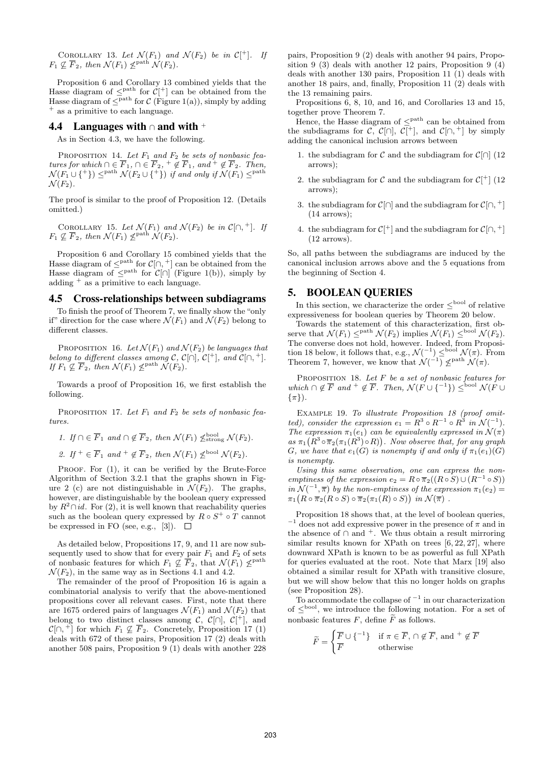COROLLARY 13. Let  $\mathcal{N}(F_1)$  and  $\mathcal{N}(F_2)$  be in  $\mathcal{C}[^+]$ . If  $F_1 \nsubseteq \overline{F}_2$ , then  $\mathcal{N}(F_1) \nleq^{\text{path}} \mathcal{N}(F_2)$ .

Proposition 6 and Corollary 13 combined yields that the Hasse diagram of  $\leq^{\text{path}}$  for  $\mathcal{C}[\dagger]$  can be obtained from the Hasse diagram of  $\leq^{\text{path}}$  for C (Figure 1(a)), simply by adding <sup>+</sup> as a primitive to each language.

# 4.4 Languages with  $\cap$  and with  $+$

As in Section 4.3, we have the following.

PROPOSITION 14. Let  $F_1$  and  $F_2$  be sets of nonbasic features for which  $\cap \in \overline{F}_1$ ,  $\cap \in \overline{F}_2$ ,  $^+ \notin \overline{F}_1$ , and  $^+ \notin \overline{F}_2$ . Then,  $\mathcal{N}(F_1 \cup \{^+\}) \leq^{\text{path}} \mathcal{N}(F_2 \cup \{^+\}) \text{ if and only if } \mathcal{N}(F_1) \leq^{\text{path}}$  $\mathcal{N}(F_2)$ .

The proof is similar to the proof of Proposition 12. (Details omitted.)

COROLLARY 15. Let  $\mathcal{N}(F_1)$  and  $\mathcal{N}(F_2)$  be in  $\mathcal{C}[\cap,{}^+]$ . If  $F_1 \nsubseteq \overline{F}_2$ , then  $\mathcal{N}(F_1) \nleq^{\text{path}} \mathcal{N}(F_2)$ .

Proposition 6 and Corollary 15 combined yields that the Hasse diagram of  $\leq^{\text{path}}$  for  $\mathcal{C}[\cap,+]$  can be obtained from the Hasse diagram of  $\leq^{\text{path}}$  for  $C[\cap]$  (Figure 1(b)), simply by adding  $<sup>+</sup>$  as a primitive to each language.</sup>

#### 4.5 Cross-relationships between subdiagrams

To finish the proof of Theorem 7, we finally show the "only if" direction for the case where  $\mathcal{N}(F_1)$  and  $\mathcal{N}(F_2)$  belong to different classes.

PROPOSITION 16. Let  $\mathcal{N}(F_1)$  and  $\mathcal{N}(F_2)$  be languages that belong to different classes among C,  $C[\cap]$ ,  $C[^+]$ , and  $C[\cap, +]$ . If  $F_1 \nsubseteq \overline{F}_2$ , then  $\mathcal{N}(F_1) \nleq^{\text{path}} \mathcal{N}(F_2)$ .

Towards a proof of Proposition 16, we first establish the following.

PROPOSITION 17. Let  $F_1$  and  $F_2$  be sets of nonbasic features.

1. If 
$$
\cap \in \overline{F}_1
$$
 and  $\cap \notin \overline{F}_2$ , then  $\mathcal{N}(F_1) \nleq^{\text{bool}}_{\text{strong}} \mathcal{N}(F_2)$ .

2. If  $^+ \in \overline{F}_1$  and  $^+ \notin \overline{F}_2$ , then  $\mathcal{N}(F_1) \not\leq^{\text{bool}} \mathcal{N}(F_2)$ .

PROOF. For  $(1)$ , it can be verified by the Brute-Force Algorithm of Section 3.2.1 that the graphs shown in Figure 2 (c) are not distinguishable in  $\mathcal{N}(F_2)$ . The graphs, however, are distinguishable by the boolean query expressed by  $R^2 \cap id$ . For (2), it is well known that reachability queries such as the boolean query expressed by  $R \circ S^+ \circ T$  cannot be expressed in FO (see, e.g., [3]).  $\square$ 

As detailed below, Propositions 17, 9, and 11 are now subsequently used to show that for every pair  $F_1$  and  $F_2$  of sets of nonbasic features for which  $F_1 \nsubseteq \overline{F}_2$ , that  $\mathcal{N}(F_1) \nleq^{\text{path}}$  $\mathcal{N}(F_2)$ , in the same way as in Sections 4.1 and 4.2.

The remainder of the proof of Proposition 16 is again a combinatorial analysis to verify that the above-mentioned propositions cover all relevant cases. First, note that there are 1675 ordered pairs of languages  $\mathcal{N}(F_1)$  and  $\mathcal{N}(F_2)$  that belong to two distinct classes among  $\mathcal{C}, \mathcal{C}[\cap], \mathcal{C}[\dagger],$  and  $\mathcal{C}[\cap,$ <sup>+</sup>] for which  $F_1 \not\subseteq \overline{F}_2$ . Concretely, Proposition 17 (1) deals with 672 of these pairs, Proposition 17 (2) deals with another 508 pairs, Proposition 9 (1) deals with another 228

pairs, Proposition 9 (2) deals with another 94 pairs, Proposition 9 (3) deals with another 12 pairs, Proposition 9 (4) deals with another 130 pairs, Proposition 11 (1) deals with another 18 pairs, and, finally, Proposition 11 (2) deals with the 13 remaining pairs.

Propositions 6, 8, 10, and 16, and Corollaries 13 and 15, together prove Theorem 7.

Hence, the Hasse diagram of  $\leq^{\text{path}}$  can be obtained from the subdiagrams for C,  $C[\cap]$ ,  $C[^+]$ , and  $C[\cap, +]$  by simply adding the canonical inclusion arrows between

- 1. the subdiagram for  $\mathcal C$  and the subdiagram for  $\mathcal C[\cap]$  (12 arrows);
- 2. the subdiagram for C and the subdiagram for  $C$ <sup>+</sup> (12) arrows);
- 3. the subdiagram for  $\mathcal{C}[\cap]$  and the subdiagram for  $\mathcal{C}[\cap,+]$ (14 arrows);
- 4. the subdiagram for  $\mathcal{C}[\uparrow]$  and the subdiagram for  $\mathcal{C}[\cap, \uparrow]$ (12 arrows).

So, all paths between the subdiagrams are induced by the canonical inclusion arrows above and the 5 equations from the beginning of Section 4.

# 5. BOOLEAN QUERIES

In this section, we characterize the order  $\leq^{\text{bool}}$  of relative expressiveness for boolean queries by Theorem 20 below.

Towards the statement of this characterization, first observe that  $\mathcal{N}(F_1) \leq^{\text{path}} \mathcal{N}(F_2)$  implies  $\mathcal{N}(F_1) \leq^{\text{bool}} \mathcal{N}(F_2)$ . The converse does not hold, however. Indeed, from Proposition 18 below, it follows that, e.g.,  $\mathcal{N}^{-1} \leq^{\text{bool}} \mathcal{N}(\pi)$ . From Theorem 7, however, we know that  $\mathcal{N}^{-1}$   $\not\leq^{\text{path}} \mathcal{N}(\pi)$ .

PROPOSITION 18. Let  $F$  be a set of nonbasic features for which  $\cap \notin \overline{F}$  and  $^+ \notin \overline{F}$ . Then,  $\mathcal{N}(F \cup \{^{-1}\}) \leq^{\text{bool}} \mathcal{N}(F \cup$  $\{\pi\}$ .

Example 19. To illustrate Proposition 18 (proof omitted), consider the expression  $e_1 = R^3 \circ R^{-1} \circ R^3$  in  $\mathcal{N}^{-1}$ . The expression  $\pi_1(e_1)$  can be equivalently expressed in  $\mathcal{N}(\pi)$ as  $\pi_1(R^3 \circ \overline{\pi}_2(\pi_1(R^3) \circ R))$ . Now observe that, for any graph G, we have that  $e_1(G)$  is nonempty if and only if  $\pi_1(e_1)(G)$ is nonempty.

Using this same observation, one can express the nonemptiness of the expression  $e_2 = R \circ \overline{\pi}_2((R \circ S) \cup (R^{-1} \circ S))$ in  $\mathcal{N}^{-1}, \overline{\pi}$  by the non-emptiness of the expression  $\pi_1(e_2)$  =  $\pi_1(R \circ \overline{\pi}_2(R \circ S) \circ \overline{\pi}_2(\pi_1(R) \circ S))$  in  $\mathcal{N}(\overline{\pi})$ .

Proposition 18 shows that, at the level of boolean queries.  $^{-1}$  does not add expressive power in the presence of  $\pi$  and in the absence of  $\cap$  and  $\dots$ . We thus obtain a result mirroring similar results known for XPath on trees [6, 22, 27], where downward XPath is known to be as powerful as full XPath for queries evaluated at the root. Note that Marx [19] also obtained a similar result for XPath with transitive closure, but we will show below that this no longer holds on graphs (see Proposition 28).

To accommodate the collapse of  $^{-1}$  in our characterization of  $\leq^{\text{bool}}$ , we introduce the following notation. For a set of nonbasic features  $F$ , define  $\widetilde{F}$  as follows.

$$
\widetilde{F} = \begin{cases} \overline{F} \cup \{-1\} & \text{if } \pi \in \overline{F}, \cap \not\in \overline{F}, \text{ and } + \not\in \overline{F} \\ \overline{F} & \text{otherwise} \end{cases}
$$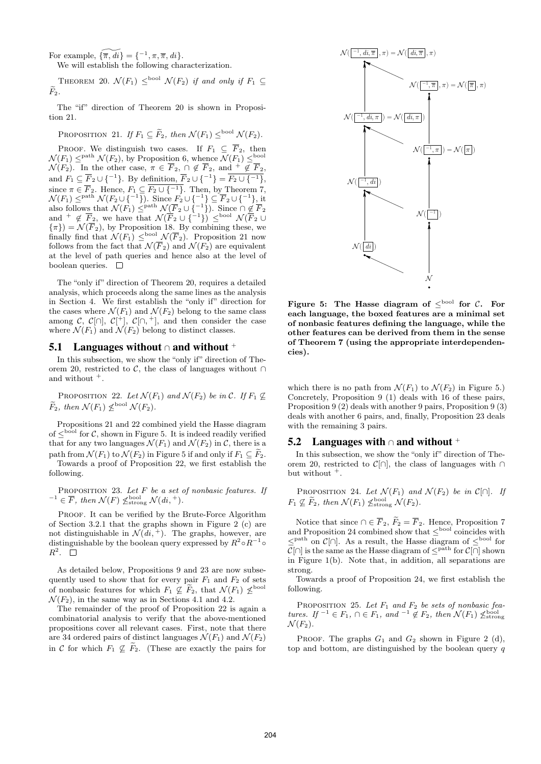For example,  $\widetilde{\{\pi, di\}} = \{-1, \pi, \overline{\pi}, di\}.$ 

We will establish the following characterization.

THEOREM 20.  $\mathcal{N}(F_1) \leq^{\text{bool}} \mathcal{N}(F_2)$  if and only if  $F_1 \subseteq$  $\widetilde{F}_2$ .

The "if" direction of Theorem 20 is shown in Proposition 21.

PROPOSITION 21. If  $F_1 \subseteq \widetilde{F}_2$ , then  $\mathcal{N}(F_1) \leq^{\text{bool}} \mathcal{N}(F_2)$ .

PROOF. We distinguish two cases. If  $F_1 \subseteq \overline{F}_2$ , then  $\mathcal{N}(F_1) \leq^{\text{path}} \mathcal{N}(F_2)$ , by Proposition 6, whence  $\mathcal{N}(F_1) \leq^{\text{bool}}$  $\mathcal{N}(F_2)$ . In the other case,  $\pi \in \overline{F}_2$ ,  $\cap \notin \overline{F}_2$ , and  $\pi \notin \overline{F}_2$ , and  $F_1 \subseteq \overline{F}_2 \cup \{-1\}$ . By definition,  $\overline{F}_2 \cup \{-1\} = \overline{F_2 \cup \{-1\}}$ , since  $\pi \in \overline{F}_2$ . Hence,  $F_1 \subseteq F_2 \cup \{-1\}$ . Then, by Theorem 7,  $\mathcal{N}(F_1) \leq^{\text{path}} \mathcal{N}(F_2 \cup \{-1\})$ . Since  $F_2 \cup \{-1\} \subseteq \overline{F}_2 \cup \{-1\}$ , it also follows that  $\mathcal{N}(F_1) \leq^{\text{path}} \mathcal{N}(F_2 \cup \{-1\})$ . Since  $\cap \mathcal{L}$   $\overline{F}_2$ and  $\pm \notin \overline{F}_2$ , we have that  $\mathcal{N}(\overline{F}_2 \cup \{-1\}) \leq^{\text{bool}} \mathcal{N}(\overline{F}_2 \cup$  $\{\pi\}$  =  $\mathcal{N}(F_2)$ , by Proposition 18. By combining these, we finally find that  $\mathcal{N}(F_1) \leq^{\text{bool}} \mathcal{N}(F_2)$ . Proposition 21 now follows from the fact that  $\mathcal{N}(\overline{F}_2)$  and  $\mathcal{N}(F_2)$  are equivalent at the level of path queries and hence also at the level of boolean queries.  $\square$ 

The "only if" direction of Theorem 20, requires a detailed analysis, which proceeds along the same lines as the analysis in Section 4. We first establish the "only if" direction for the cases where  $\mathcal{N}(F_1)$  and  $\mathcal{N}(F_2)$  belong to the same class among C, C[∩], C[<sup>+</sup>], C[∩,<sup>+</sup>], and then consider the case where  $\mathcal{N}(F_1)$  and  $\mathcal{N}(F_2)$  belong to distinct classes.

#### 5.1 Languages without ∩ and without  $+$

In this subsection, we show the "only if" direction of Theorem 20, restricted to  $\mathcal{C}$ , the class of languages without ∩ and without  $^+$ .

PROPOSITION 22. Let  $\mathcal{N}(F_1)$  and  $\mathcal{N}(F_2)$  be in C. If  $F_1 \not\subseteq$  $\widetilde{F}_2$ , then  $\mathcal{N}(F_1) \not\leq^{\text{bool}} \mathcal{N}(F_2)$ .

Propositions 21 and 22 combined yield the Hasse diagram of  $\leq^{\text{bool}}$  for C, shown in Figure 5. It is indeed readily verified that for any two languages  $\mathcal{N}(F_1)$  and  $\mathcal{N}(F_2)$  in C, there is a path from  $\mathcal{N}(F_1)$  to  $\mathcal{N}(F_2)$  in Figure 5 if and only if  $F_1 \subseteq \widetilde{F}_2$ . Towards a proof of Proposition 22, we first establish the following.

PROPOSITION 23. Let  $F$  be a set of nonbasic features. If  $^{-1} \in \overline{F}$ , then  $\mathcal{N}(F) \not\leq_{\text{strong}}^{\text{bool}} \mathcal{N}(di, +)$ .

PROOF. It can be verified by the Brute-Force Algorithm of Section 3.2.1 that the graphs shown in Figure 2 (c) are not distinguishable in  $\mathcal{N}(di, +)$ . The graphs, however, are distinguishable by the boolean query expressed by  $R^2 \circ R^{-1} \circ$  $R^2$ .

As detailed below, Propositions 9 and 23 are now subsequently used to show that for every pair  $F_1$  and  $F_2$  of sets of nonbasic features for which  $F_1 \not\subseteq \widetilde{F}_2$ , that  $\mathcal{N}(F_1) \not\leq^{\text{bool}}$  $\mathcal{N}(F_2)$ , in the same way as in Sections 4.1 and 4.2.

The remainder of the proof of Proposition 22 is again a combinatorial analysis to verify that the above-mentioned propositions cover all relevant cases. First, note that there are 34 ordered pairs of distinct languages  $\mathcal{N}(F_1)$  and  $\mathcal{N}(F_2)$ in C for which  $F_1 \nsubseteq \tilde{F}_2$ . (These are exactly the pairs for



Figure 5: The Hasse diagram of  $\leq^{\text{bool}}$  for C. For each language, the boxed features are a minimal set of nonbasic features defining the language, while the other features can be derived from them in the sense of Theorem 7 (using the appropriate interdependencies).

which there is no path from  $\mathcal{N}(F_1)$  to  $\mathcal{N}(F_2)$  in Figure 5.) Concretely, Proposition 9 (1) deals with 16 of these pairs, Proposition 9 (2) deals with another 9 pairs, Proposition 9 (3) deals with another 6 pairs, and, finally, Proposition 23 deals with the remaining 3 pairs.

# 5.2 Languages with ∩ and without  $+$

In this subsection, we show the "only if" direction of Theorem 20, restricted to  $\mathcal{C}[\cap]$ , the class of languages with  $\cap$ but without  $^+$ .

PROPOSITION 24. Let  $\mathcal{N}(F_1)$  and  $\mathcal{N}(F_2)$  be in  $\mathcal{C}[\cap]$ . If  $F_1 \nsubseteq \widetilde{F}_2$ , then  $\mathcal{N}(F_1) \nleq^{\text{bool}}_{\text{strong}} \mathcal{N}(F_2)$ .

Notice that since  $\cap \in \overline{F}_2$ ,  $\widetilde{F}_2 = \overline{F}_2$ . Hence, Proposition 7 and Proposition 24 combined show that  $\leq^{\text{bool}}$  coincides with  $\leq^{\text{path}}$  on  $\mathcal{C}[\cap]$ . As a result, the Hasse diagram of  $\leq^{\text{bool}}$  for  $\mathcal{C}[\cap]$  is the same as the Hasse diagram of  $\leq^{\text{path}}$  for  $\mathcal{C}[\cap]$  shown in Figure 1(b). Note that, in addition, all separations are strong.

Towards a proof of Proposition 24, we first establish the following.

PROPOSITION 25. Let  $F_1$  and  $F_2$  be sets of nonbasic features. If  $^{-1} \in F_1$ ,  $\cap \in F_1$ , and  $^{-1} \notin F_2$ , then  $\mathcal{N}(F_1) \nleq^{\text{bool}}$  $\mathcal{N}(F_2)$ .

PROOF. The graphs  $G_1$  and  $G_2$  shown in Figure 2 (d), top and bottom, are distinguished by the boolean query q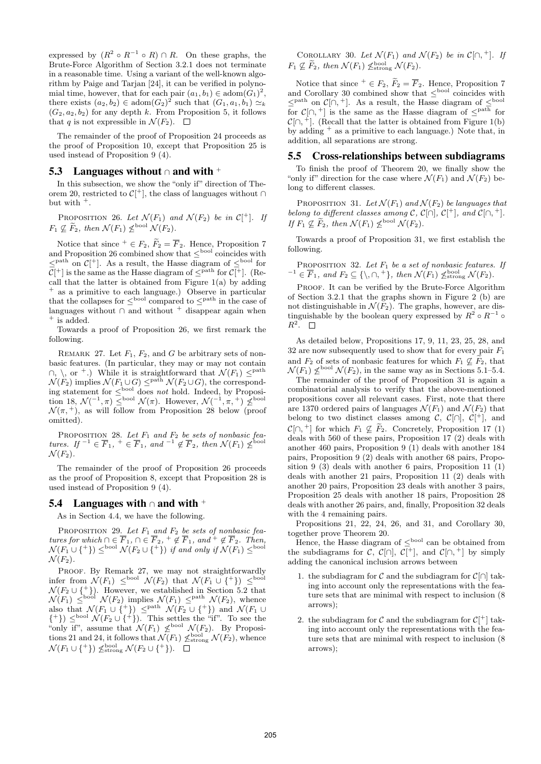expressed by  $(R^2 \circ R^{-1} \circ R) \cap R$ . On these graphs, the Brute-Force Algorithm of Section 3.2.1 does not terminate in a reasonable time. Using a variant of the well-known algorithm by Paige and Tarjan [24], it can be verified in polynomial time, however, that for each pair  $(a_1, b_1) \in \text{adom}(G_1)^2$ , there exists  $(a_2, b_2) \in \text{adom}(G_2)^2$  such that  $(G_1, a_1, b_1) \simeq_k$  $(G_2, a_2, b_2)$  for any depth k. From Proposition 5, it follows that q is not expressible in  $\mathcal{N}(F_2)$ .  $\Box$ 

The remainder of the proof of Proposition 24 proceeds as the proof of Proposition 10, except that Proposition 25 is used instead of Proposition 9 (4).

#### 5.3 Languages without  $\cap$  and with  $+$

In this subsection, we show the "only if" direction of Theorem 20, restricted to  $\mathcal{C}^{+}$ , the class of languages without ∩ but with  $^+$ .

PROPOSITION 26. Let  $\mathcal{N}(F_1)$  and  $\mathcal{N}(F_2)$  be in  $\mathcal{C}[^+]$ . If  $F_1 \nsubseteq \widetilde{F}_2$ , then  $\mathcal{N}(F_1) \nleq^{\text{bool}} \mathcal{N}(F_2)$ .

Notice that since  ${}^+ \in F_2$ ,  $\widetilde{F}_2 = \overline{F}_2$ . Hence, Proposition 7 and Proposition 26 combined show that  $\leq^{\text{bool}}$  coincides with  $\leq^{\text{path}}$  on  $\mathcal{C}^{\dagger}$ . As a result, the Hasse diagram of  $\leq^{\text{bool}}$  for  $\mathcal{C}^{\dagger}$  is the same as the Hasse diagram of  $\leq^{\text{path}}$  for  $\mathcal{C}^{\dagger}$ . (Recall that the latter is obtained from Figure 1(a) by adding <sup>+</sup> as a primitive to each language.) Observe in particular that the collapses for  $\leq^{\text{bool}}$  compared to  $\leq^{\text{path}}$  in the case of languages without ∩ and without  $+$  disappear again when is added.

Towards a proof of Proposition 26, we first remark the following.

REMARK 27. Let  $F_1$ ,  $F_2$ , and G be arbitrary sets of nonbasic features. (In particular, they may or may not contain  $\cap$ ,  $\setminus$ , or <sup>+</sup>.) While it is straightforward that  $\mathcal{N}(F_1) \leq^{\text{path}}$  $\mathcal{N}(F_2)$  implies  $\mathcal{N}(F_1 \cup G) \leq^{\text{path}} \mathcal{N}(F_2 \cup G)$ , the corresponding statement for  $\leq^{\text{bool}}$  does not hold. Indeed, by Proposition 18,  $\mathcal{N}(\lambda^{-1}, \pi) \leq^{\text{bool}} \mathcal{N}(\pi)$ . However,  $\mathcal{N}(\lambda^{-1}, \pi, \lambda^{+}) \leq^{\text{bool}}$  $\mathcal{N}(\pi, +)$ , as will follow from Proposition 28 below (proof omitted).

PROPOSITION 28. Let  $F_1$  and  $F_2$  be sets of nonbasic features. If  $^{-1} \in \overline{F}_1$ ,  $^+ \in \overline{F}_1$ , and  $^{-1} \notin \overline{F}_2$ , then  $\mathcal{N}(F_1) \not\leq^{\text{bool}}$  $\mathcal{N}(F_2)$ .

The remainder of the proof of Proposition 26 proceeds as the proof of Proposition 8, except that Proposition 28 is used instead of Proposition 9 (4).

#### 5.4 Languages with ∩ and with  $+$

As in Section 4.4, we have the following.

PROPOSITION 29. Let  $F_1$  and  $F_2$  be sets of nonbasic features for which  $\cap \in \overline{F}_1$ ,  $\cap \in \overline{F}_2$ ,  $^+ \notin \overline{F}_1$ , and  $^+ \notin \overline{F}_2$ . Then,  $\mathcal{N}(F_1 \cup \{^+\}) \leq^{\text{bool}} \mathcal{N}(F_2 \cup \{^+\})$  if and only if  $\mathcal{N}(F_1) \leq^{\text{bool}}$  $\mathcal{N}(F_2)$ .

PROOF. By Remark 27, we may not straightforwardly infer from  $\mathcal{N}(F_1) \leq^{\text{bool}} \mathcal{N}(F_2)$  that  $\mathcal{N}(F_1 \cup \{^+\}) \leq^{\text{bool}}$  $\mathcal{N}(F_2 \cup \{^+\})$ . However, we established in Section 5.2 that  $\mathcal{N}(F_1) \leq^{\text{bool}} \mathcal{N}(F_2)$  implies  $\mathcal{N}(F_1) \leq^{\text{path}} \mathcal{N}(F_2)$ , whence also that  $\mathcal{N}(F_1 \cup \{^+\}) \leq^{\text{path}} \mathcal{N}(F_2 \cup \{^+\})$  and  $\mathcal{N}(F_1 \cup$  ${+}$ )  $\leq^{\text{bool}} \mathcal{N}(F_2 \cup \{+\})$ . This settles the "if". To see the "only if", assume that  $\mathcal{N}(F_1) \not\leq^{\text{bool}} \mathcal{N}(F_2)$ . By Propositions 21 and 24, it follows that  $\mathcal{N}(F_1) \nleq^{\text{bool}}_{\text{strong}} \mathcal{N}(F_2)$ , whence  $\mathcal{N}(F_1 \cup \{^+\}) \not \leq^{\text{bool}}_{\text{strong}} \mathcal{N}(F_2 \cup \{^+\}).$ 

COROLLARY 30. Let  $\mathcal{N}(F_1)$  and  $\mathcal{N}(F_2)$  be in  $\mathcal{C}[\cap,{}^+]$ . If  $F_1 \nsubseteq \widetilde{F}_2$ , then  $\mathcal{N}(F_1) \nleq^{\text{bool}}_{\text{strong}} \mathcal{N}(F_2)$ .

Notice that since  ${}^+ \in F_2$ ,  $\widetilde{F}_2 = \overline{F}_2$ . Hence, Proposition 7 and Corollary 30 combined show that  $\leq^{\text{bool}}$  coincides with  $\leq^{\text{path}}$  on  $\mathcal{C}[\cap,+]$ . As a result, the Hasse diagram of  $\leq^{\text{bool}}$ for  $C[\bigcap_{n=1}^{\infty}$  is the same as the Hasse diagram of  $\leq^{\text{path}}$  for  $\mathcal{C}[\cap,+]$ . (Recall that the latter is obtained from Figure 1(b) by adding <sup>+</sup> as a primitive to each language.) Note that, in addition, all separations are strong.

#### 5.5 Cross-relationships between subdiagrams

To finish the proof of Theorem 20, we finally show the "only if" direction for the case where  $\mathcal{N}(F_1)$  and  $\mathcal{N}(F_2)$  belong to different classes.

PROPOSITION 31. Let  $\mathcal{N}(F_1)$  and  $\mathcal{N}(F_2)$  be languages that belong to different classes among C,  $C[\cap]$ ,  $C[^+]$ , and  $C[\cap, +]$ . If  $F_1 \nsubseteq \widetilde{F}_2$ , then  $\mathcal{N}(F_1) \nleq^{\text{bool}} \mathcal{N}(F_2)$ .

Towards a proof of Proposition 31, we first establish the following.

PROPOSITION 32. Let  $F_1$  be a set of nonbasic features. If  $^{-1}$  ∈  $\overline{F}_1$ , and  $F_2 \subseteq {\mathcal{R}}, \cap, {^+}$ , then  $\mathcal{N}(F_1)$  ≰strong  $\mathcal{N}(F_2)$ .

PROOF. It can be verified by the Brute-Force Algorithm of Section 3.2.1 that the graphs shown in Figure 2 (b) are not distinguishable in  $\mathcal{N}(F_2)$ . The graphs, however, are distinguishable by the boolean query expressed by  $R^2 \circ R^{-1} \circ$  $R^2$ .

As detailed below, Propositions 17, 9, 11, 23, 25, 28, and 32 are now subsequently used to show that for every pair  $F_1$ and  $F_2$  of sets of nonbasic features for which  $F_1 \nsubseteq F_2$ , that  $\mathcal{N}(F_1) \nleq^{\text{bool}} \mathcal{N}(F_2)$ , in the same way as in Sections 5.1–5.4.

The remainder of the proof of Proposition 31 is again a combinatorial analysis to verify that the above-mentioned propositions cover all relevant cases. First, note that there are 1370 ordered pairs of languages  $\mathcal{N}(F_1)$  and  $\mathcal{N}(F_2)$  that belong to two distinct classes among C,  $C[\cap]$ ,  $C[^+]$ , and  $\mathcal{C}[\cap,+]$  for which  $F_1 \not\subseteq \widetilde{F}_2$ . Concretely, Proposition 17 (1) deals with 560 of these pairs, Proposition 17 (2) deals with another 460 pairs, Proposition 9 (1) deals with another 184 pairs, Proposition 9 (2) deals with another 68 pairs, Proposition 9 (3) deals with another 6 pairs, Proposition 11 (1) deals with another 21 pairs, Proposition 11 (2) deals with another 20 pairs, Proposition 23 deals with another 3 pairs, Proposition 25 deals with another 18 pairs, Proposition 28 deals with another 26 pairs, and, finally, Proposition 32 deals with the 4 remaining pairs.

Propositions 21, 22, 24, 26, and 31, and Corollary 30, together prove Theorem 20.

Hence, the Hasse diagram of  $\leq^{\text{bool}}$  can be obtained from the subdiagrams for C,  $C[\cap]$ ,  $C[^+]$ , and  $C[\cap, +]$  by simply adding the canonical inclusion arrows between

- 1. the subdiagram for  $\mathcal C$  and the subdiagram for  $\mathcal C[\cap]$  taking into account only the representations with the feature sets that are minimal with respect to inclusion (8 arrows);
- 2. the subdiagram for  $\mathcal C$  and the subdiagram for  $\mathcal C[^+]$  taking into account only the representations with the feature sets that are minimal with respect to inclusion (8 arrows);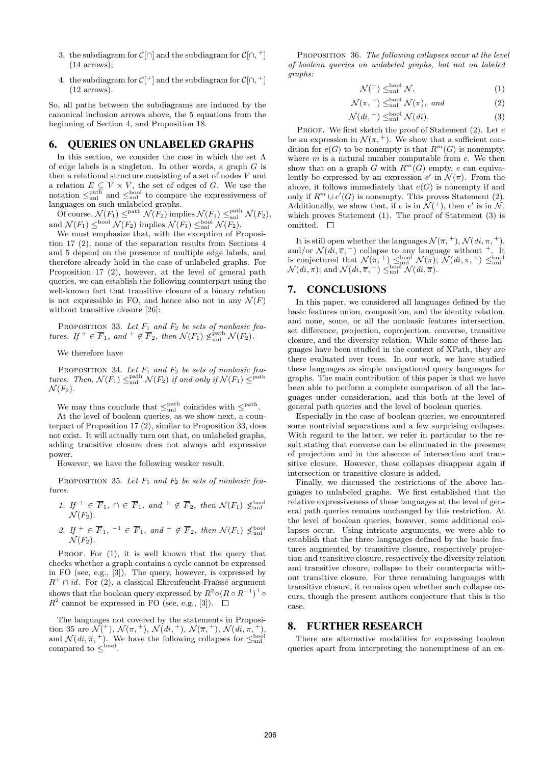- 3. the subdiagram for  $\mathcal{C}[\cap]$  and the subdiagram for  $\mathcal{C}[\cap,+]$ (14 arrows);
- 4. the subdiagram for  $\mathcal{C}[^{+}]$  and the subdiagram for  $\mathcal{C}[\cap,+]$ (12 arrows).

So, all paths between the subdiagrams are induced by the canonical inclusion arrows above, the 5 equations from the beginning of Section 4, and Proposition 18.

# 6. QUERIES ON UNLABELED GRAPHS

In this section, we consider the case in which the set  $\Lambda$ of edge labels is a singleton. In other words, a graph G is then a relational structure consisting of a set of nodes  $V$  and a relation  $E \subseteq V \times V$ , the set of edges of G. We use the notation  $\leq_{\text{unl}}^{\text{path}}$  and  $\leq_{\text{unl}}^{\text{bool}}$  to compare the expressiveness of languages on such unlabeled graphs.

Of course,  $\mathcal{N}(F_1) \leq^{\text{path}} \mathcal{N}(F_2)$  implies  $\mathcal{N}(F_1) \leq^{\text{path}}_{\text{unl}} \mathcal{N}(F_2)$ , and  $\mathcal{N}(F_1) \leq^{\text{bool}} \mathcal{N}(F_2)$  implies  $\mathcal{N}(F_1) \leq^{\text{bool}}_{\text{unl}} \mathcal{N}(F_2)$ .

We must emphasize that, with the exception of Proposition 17 (2), none of the separation results from Sections 4 and 5 depend on the presence of multiple edge labels, and therefore already hold in the case of unlabeled graphs. For Proposition 17 (2), however, at the level of general path queries, we can establish the following counterpart using the well-known fact that transitive closure of a binary relation is not expressible in FO, and hence also not in any  $\mathcal{N}(F)$ without transitive closure [26]:

PROPOSITION 33. Let  $F_1$  and  $F_2$  be sets of nonbasic features. If  $^+ \in \overline{F}_1$ , and  $^+ \notin \overline{F}_2$ , then  $\mathcal{N}(F_1) \not\leq_{\text{unl}}^{\text{path}} \mathcal{N}(F_2)$ .

We therefore have

PROPOSITION 34. Let  $F_1$  and  $F_2$  be sets of nonbasic features. Then,  $\mathcal{N}(F_1) \leq^{\text{path}}_{\text{unl}} \mathcal{N}(F_2)$  if and only if  $\mathcal{N}(F_1) \leq^{\text{path}}$  $\mathcal{N}(F_2)$ .

We may thus conclude that  $\leq^{\text{path}}_{\text{unl}}$  coincides with  $\leq^{\text{path}}$ .

At the level of boolean queries, as we show next, a counterpart of Proposition 17 (2), similar to Proposition 33, does not exist. It will actually turn out that, on unlabeled graphs, adding transitive closure does not always add expressive power.

However, we have the following weaker result.

PROPOSITION 35. Let  $F_1$  and  $F_2$  be sets of nonbasic features.

1. If 
$$
^+ \in \overline{F}_1
$$
,  $\cap \in \overline{F}_1$ , and  $^+ \notin \overline{F}_2$ , then  $\mathcal{N}(F_1) \not\leq^{\text{bool}}_{\text{unl}}$   
 $\mathcal{N}(F_2)$ .

2. If  $^+ \in \overline{F}_1$ ,  $^{-1} \in \overline{F}_1$ , and  $^+ \notin \overline{F}_2$ , then  $\mathcal{N}(F_1) \not\leq^{\text{bool}}_{\text{unl}}$  $\mathcal{N}(F_2)$  .

PROOF. For  $(1)$ , it is well known that the query that checks whether a graph contains a cycle cannot be expressed in FO (see, e.g., [3]). The query, however, is expressed by  $R^+ \cap id$ . For (2), a classical Ehrenfeucht-Fraüssé argument shows that the boolean query expressed by  $R^2 \circ (R \circ R^{-1})^+ \circ$  $R^2$  cannot be expressed in FO (see, e.g., [3]).

The languages not covered by the statements in Proposition 35 are  $\mathcal{N}(\dagger), \, \mathcal{N}(\pi, \dagger), \, \mathcal{N}(di, \dagger), \, \mathcal{N}(\overline{\pi}, \dagger), \, \mathcal{N}(di, \pi, \dagger),$ and  $\mathcal{N}(di, \overline{\pi},^+)$ . We have the following collapses for  $\leq_{\text{unl}}^{\text{bool}}$ <br>compared to  $\leq_{\text{bol}}^{\text{bool}}$ .

PROPOSITION 36. The following collapses occur at the level of boolean queries on unlabeled graphs, but not on labeled graphs:

$$
\mathcal{N}(\vec{v}) \leq_{\text{unif}}^{\text{bool}} \mathcal{N},\tag{1}
$$

$$
\mathcal{N}(\pi, ^{+}) \leq^{\text{bool}}_{\text{unl}} \mathcal{N}(\pi), \text{ and}
$$
 (2)

$$
\mathcal{N}(di, ^{+}) \leq^{\text{bool}}_{\text{unl}} \mathcal{N}(di). \tag{3}
$$

PROOF. We first sketch the proof of Statement  $(2)$ . Let  $e$ be an expression in  $\mathcal{N}(\pi, +)$ . We show that a sufficient condition for  $e(G)$  to be nonempty is that  $R^m(G)$  is nonempty, where  $m$  is a natural number computable from  $e$ . We then show that on a graph G with  $R^m(G)$  empty, e can equivalently be expressed by an expression  $e'$  in  $\mathcal{N}(\pi)$ . From the above, it follows immediately that  $e(G)$  is nonempty if and only if  $R^m \cup e'(G)$  is nonempty. This proves Statement (2). Additionally, we show that, if e is in  $\mathcal{N}(t^+)$ , then e' is in  $\mathcal{N}$ , which proves Statement (1). The proof of Statement (3) is omitted.  $\quad \Box$ 

It is still open whether the languages  $\mathcal{N}(\overline{\pi},^+), \mathcal{N}(di, \pi,^+),$ and/or  $\mathcal{N}(di, \overline{\pi},^+)$  collapse to any language without  $^+$ . It is conjectured that  $\mathcal{N}(\overline{\pi},^+) \leq_{\text{unl}}^{\text{bool}} \mathcal{N}(\overline{\pi})$ ;  $\mathcal{N}(di, \pi,^+) \leq_{\text{unl}}^{\text{bool}} \mathcal{N}(di, \pi)$ ; and  $\mathcal{N}(di, \overline{\pi},^+) \leq_{\text{unl}}^{\text{bool}} \mathcal{N}(di, \overline{\pi})$ .

# 7. CONCLUSIONS

In this paper, we considered all languages defined by the basic features union, composition, and the identity relation, and none, some, or all the nonbasic features intersection, set difference, projection, coprojection, converse, transitive closure, and the diversity relation. While some of these languages have been studied in the context of XPath, they are there evaluated over trees. In our work, we have studied these languages as simple navigational query languages for graphs. The main contribution of this paper is that we have been able to perform a complete comparison of all the languages under consideration, and this both at the level of general path queries and the level of boolean queries.

Especially in the case of boolean queries, we encountered some nontrivial separations and a few surprising collapses. With regard to the latter, we refer in particular to the result stating that converse can be eliminated in the presence of projection and in the absence of intersection and transitive closure. However, these collapses disappear again if intersection or transitive closure is added.

Finally, we discussed the restrictions of the above languages to unlabeled graphs. We first established that the relative expressiveness of these languages at the level of general path queries remains unchanged by this restriction. At the level of boolean queries, however, some additional collapses occur. Using intricate arguments, we were able to establish that the three languages defined by the basic features augmented by transitive closure, respectively projection and transitive closure, respectively the diversity relation and transitive closure, collapse to their counterparts without transitive closure. For three remaining languages with transitive closure, it remains open whether such collapse occurs, though the present authors conjecture that this is the case.

# 8. FURTHER RESEARCH

There are alternative modalities for expressing boolean queries apart from interpreting the nonemptiness of an ex